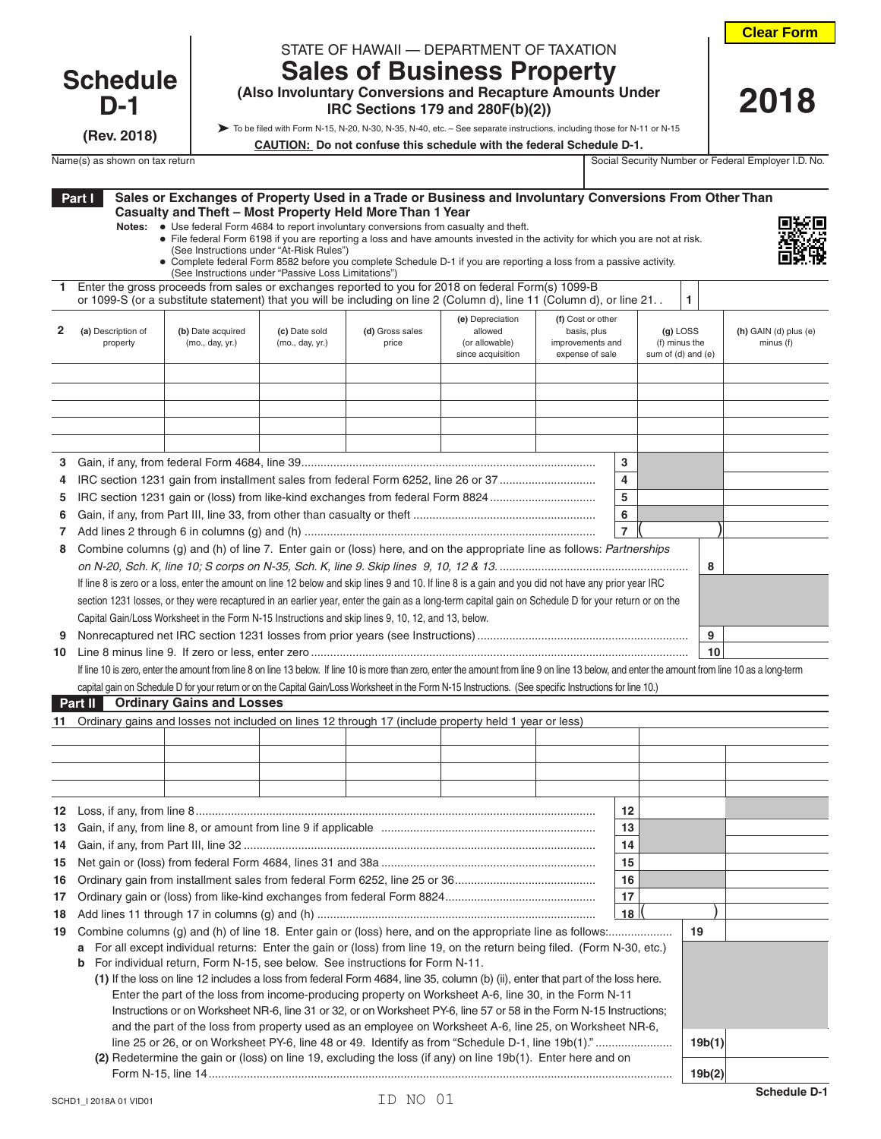| <b>Clear Form</b> |  |
|-------------------|--|
|-------------------|--|

 **2018**

## **Schedule D-1**

**(Rev. 2018)**

| STATE OF HAWAII - DEPARTMENT OF TAXATION |  |
|------------------------------------------|--|

## **Sales of Business Property (Also Involuntary Conversions and Recapture Amounts Under**

 **IRC Sections 179 and 280F(b)(2))**

To be filed with Form N-15, N-20, N-30, N-35, N-40, etc. – See separate instructions, including those for N-11 or N-15

| CAUTION: Do not confuse this schedule with the federal Schedule D-1. |  |
|----------------------------------------------------------------------|--|
|                                                                      |  |

Name(s) as shown on tax return Social Security Number or Federal Employer I.D. No.

|          | Part I                                                                                                                                                                                                                                                                                                                                                                                                                                                                                                                                                                                                                                                                                                                                                                                                          | Casualty and Theft - Most Property Held More Than 1 Year<br>Notes: • Use federal Form 4684 to report involuntary conversions from casualty and theft.<br>(See Instructions under "At-Risk Rules")<br>(See Instructions under "Passive Loss Limitations") |                                  |                          | Sales or Exchanges of Property Used in a Trade or Business and Involuntary Conversions From Other Than<br>• File federal Form 6198 if you are reporting a loss and have amounts invested in the activity for which you are not at risk.<br>• Complete federal Form 8582 before you complete Schedule D-1 if you are reporting a loss from a passive activity.                                                                                                                                                       |                                                                         |                     |                                                   |                                      |
|----------|-----------------------------------------------------------------------------------------------------------------------------------------------------------------------------------------------------------------------------------------------------------------------------------------------------------------------------------------------------------------------------------------------------------------------------------------------------------------------------------------------------------------------------------------------------------------------------------------------------------------------------------------------------------------------------------------------------------------------------------------------------------------------------------------------------------------|----------------------------------------------------------------------------------------------------------------------------------------------------------------------------------------------------------------------------------------------------------|----------------------------------|--------------------------|---------------------------------------------------------------------------------------------------------------------------------------------------------------------------------------------------------------------------------------------------------------------------------------------------------------------------------------------------------------------------------------------------------------------------------------------------------------------------------------------------------------------|-------------------------------------------------------------------------|---------------------|---------------------------------------------------|--------------------------------------|
|          |                                                                                                                                                                                                                                                                                                                                                                                                                                                                                                                                                                                                                                                                                                                                                                                                                 |                                                                                                                                                                                                                                                          |                                  |                          | Enter the gross proceeds from sales or exchanges reported to you for 2018 on federal Form(s) 1099-B<br>or 1099-S (or a substitute statement) that you will be including on line 2 (Column d), line 11 (Column d), or line 21. .                                                                                                                                                                                                                                                                                     |                                                                         |                     | 1                                                 |                                      |
| 2        | (a) Description of<br>property                                                                                                                                                                                                                                                                                                                                                                                                                                                                                                                                                                                                                                                                                                                                                                                  | (b) Date acquired<br>(mo., day, yr.)                                                                                                                                                                                                                     | (c) Date sold<br>(mo., day, yr.) | (d) Gross sales<br>price | (e) Depreciation<br>allowed<br>(or allowable)<br>since acquisition                                                                                                                                                                                                                                                                                                                                                                                                                                                  | (f) Cost or other<br>basis, plus<br>improvements and<br>expense of sale |                     | $(g)$ LOSS<br>(f) minus the<br>sum of (d) and (e) | $(h)$ GAIN (d) plus (e)<br>minus (f) |
|          |                                                                                                                                                                                                                                                                                                                                                                                                                                                                                                                                                                                                                                                                                                                                                                                                                 |                                                                                                                                                                                                                                                          |                                  |                          |                                                                                                                                                                                                                                                                                                                                                                                                                                                                                                                     |                                                                         |                     |                                                   |                                      |
| 3        |                                                                                                                                                                                                                                                                                                                                                                                                                                                                                                                                                                                                                                                                                                                                                                                                                 |                                                                                                                                                                                                                                                          |                                  |                          |                                                                                                                                                                                                                                                                                                                                                                                                                                                                                                                     |                                                                         | 3                   |                                                   |                                      |
| 4        |                                                                                                                                                                                                                                                                                                                                                                                                                                                                                                                                                                                                                                                                                                                                                                                                                 |                                                                                                                                                                                                                                                          |                                  |                          | IRC section 1231 gain from installment sales from federal Form 6252, line 26 or 37                                                                                                                                                                                                                                                                                                                                                                                                                                  |                                                                         | 4                   |                                                   |                                      |
| 5        |                                                                                                                                                                                                                                                                                                                                                                                                                                                                                                                                                                                                                                                                                                                                                                                                                 |                                                                                                                                                                                                                                                          |                                  |                          | IRC section 1231 gain or (loss) from like-kind exchanges from federal Form 8824                                                                                                                                                                                                                                                                                                                                                                                                                                     |                                                                         | 5                   |                                                   |                                      |
| 6        |                                                                                                                                                                                                                                                                                                                                                                                                                                                                                                                                                                                                                                                                                                                                                                                                                 |                                                                                                                                                                                                                                                          |                                  |                          |                                                                                                                                                                                                                                                                                                                                                                                                                                                                                                                     |                                                                         | 6<br>$\overline{7}$ |                                                   |                                      |
| 7<br>8   |                                                                                                                                                                                                                                                                                                                                                                                                                                                                                                                                                                                                                                                                                                                                                                                                                 |                                                                                                                                                                                                                                                          |                                  |                          | Combine columns (g) and (h) of line 7. Enter gain or (loss) here, and on the appropriate line as follows: Partnerships                                                                                                                                                                                                                                                                                                                                                                                              |                                                                         |                     |                                                   |                                      |
|          |                                                                                                                                                                                                                                                                                                                                                                                                                                                                                                                                                                                                                                                                                                                                                                                                                 |                                                                                                                                                                                                                                                          |                                  |                          |                                                                                                                                                                                                                                                                                                                                                                                                                                                                                                                     |                                                                         |                     | 8                                                 |                                      |
| 9<br>10  |                                                                                                                                                                                                                                                                                                                                                                                                                                                                                                                                                                                                                                                                                                                                                                                                                 | Capital Gain/Loss Worksheet in the Form N-15 Instructions and skip lines 9, 10, 12, and 13, below.                                                                                                                                                       |                                  |                          | section 1231 losses, or they were recaptured in an earlier year, enter the gain as a long-term capital gain on Schedule D for your return or on the<br>If line 10 is zero, enter the amount from line 8 on line 13 below. If line 10 is more than zero, enter the amount from line 9 on line 13 below, and enter the amount from line 10 as a long-term<br>capital gain on Schedule D for your return or on the Capital Gain/Loss Worksheet in the Form N-15 Instructions. (See specific Instructions for line 10.) |                                                                         |                     | 9<br>10                                           |                                      |
|          |                                                                                                                                                                                                                                                                                                                                                                                                                                                                                                                                                                                                                                                                                                                                                                                                                 | <b>Part II</b> Ordinary Gains and Losses                                                                                                                                                                                                                 |                                  |                          |                                                                                                                                                                                                                                                                                                                                                                                                                                                                                                                     |                                                                         |                     |                                                   |                                      |
|          |                                                                                                                                                                                                                                                                                                                                                                                                                                                                                                                                                                                                                                                                                                                                                                                                                 |                                                                                                                                                                                                                                                          |                                  |                          | Ordinary gains and losses not included on lines 12 through 17 (include property held 1 year or less)                                                                                                                                                                                                                                                                                                                                                                                                                |                                                                         |                     |                                                   |                                      |
|          |                                                                                                                                                                                                                                                                                                                                                                                                                                                                                                                                                                                                                                                                                                                                                                                                                 |                                                                                                                                                                                                                                                          |                                  |                          |                                                                                                                                                                                                                                                                                                                                                                                                                                                                                                                     |                                                                         |                     |                                                   |                                      |
|          |                                                                                                                                                                                                                                                                                                                                                                                                                                                                                                                                                                                                                                                                                                                                                                                                                 |                                                                                                                                                                                                                                                          |                                  |                          |                                                                                                                                                                                                                                                                                                                                                                                                                                                                                                                     |                                                                         |                     |                                                   |                                      |
|          |                                                                                                                                                                                                                                                                                                                                                                                                                                                                                                                                                                                                                                                                                                                                                                                                                 |                                                                                                                                                                                                                                                          |                                  |                          |                                                                                                                                                                                                                                                                                                                                                                                                                                                                                                                     |                                                                         |                     |                                                   |                                      |
|          |                                                                                                                                                                                                                                                                                                                                                                                                                                                                                                                                                                                                                                                                                                                                                                                                                 |                                                                                                                                                                                                                                                          |                                  |                          |                                                                                                                                                                                                                                                                                                                                                                                                                                                                                                                     |                                                                         |                     |                                                   |                                      |
|          |                                                                                                                                                                                                                                                                                                                                                                                                                                                                                                                                                                                                                                                                                                                                                                                                                 |                                                                                                                                                                                                                                                          |                                  |                          |                                                                                                                                                                                                                                                                                                                                                                                                                                                                                                                     |                                                                         | 12                  |                                                   |                                      |
|          |                                                                                                                                                                                                                                                                                                                                                                                                                                                                                                                                                                                                                                                                                                                                                                                                                 | 13 Gain, if any, from line 8, or amount from line 9 if applicable                                                                                                                                                                                        |                                  |                          |                                                                                                                                                                                                                                                                                                                                                                                                                                                                                                                     |                                                                         | 13                  |                                                   |                                      |
| 14<br>15 |                                                                                                                                                                                                                                                                                                                                                                                                                                                                                                                                                                                                                                                                                                                                                                                                                 |                                                                                                                                                                                                                                                          |                                  |                          |                                                                                                                                                                                                                                                                                                                                                                                                                                                                                                                     |                                                                         | 14<br>15            |                                                   |                                      |
| 16       |                                                                                                                                                                                                                                                                                                                                                                                                                                                                                                                                                                                                                                                                                                                                                                                                                 |                                                                                                                                                                                                                                                          |                                  |                          |                                                                                                                                                                                                                                                                                                                                                                                                                                                                                                                     |                                                                         | 16                  |                                                   |                                      |
| 17       |                                                                                                                                                                                                                                                                                                                                                                                                                                                                                                                                                                                                                                                                                                                                                                                                                 |                                                                                                                                                                                                                                                          |                                  |                          |                                                                                                                                                                                                                                                                                                                                                                                                                                                                                                                     |                                                                         | 17                  |                                                   |                                      |
| 18       |                                                                                                                                                                                                                                                                                                                                                                                                                                                                                                                                                                                                                                                                                                                                                                                                                 |                                                                                                                                                                                                                                                          |                                  |                          |                                                                                                                                                                                                                                                                                                                                                                                                                                                                                                                     |                                                                         | 18                  |                                                   |                                      |
| 19       |                                                                                                                                                                                                                                                                                                                                                                                                                                                                                                                                                                                                                                                                                                                                                                                                                 |                                                                                                                                                                                                                                                          |                                  |                          |                                                                                                                                                                                                                                                                                                                                                                                                                                                                                                                     |                                                                         |                     | 19                                                |                                      |
|          | For all except individual returns: Enter the gain or (loss) from line 19, on the return being filed. (Form N-30, etc.)<br>a<br>For individual return, Form N-15, see below. See instructions for Form N-11.<br>b<br>(1) If the loss on line 12 includes a loss from federal Form 4684, line 35, column (b) (ii), enter that part of the loss here.<br>Enter the part of the loss from income-producing property on Worksheet A-6, line 30, in the Form N-11<br>Instructions or on Worksheet NR-6, line 31 or 32, or on Worksheet PY-6, line 57 or 58 in the Form N-15 Instructions;<br>and the part of the loss from property used as an employee on Worksheet A-6, line 25, on Worksheet NR-6,<br>(2) Redetermine the gain or (loss) on line 19, excluding the loss (if any) on line 19b(1). Enter here and on |                                                                                                                                                                                                                                                          |                                  |                          |                                                                                                                                                                                                                                                                                                                                                                                                                                                                                                                     |                                                                         | 19b(1)<br>19b(2)    |                                                   |                                      |